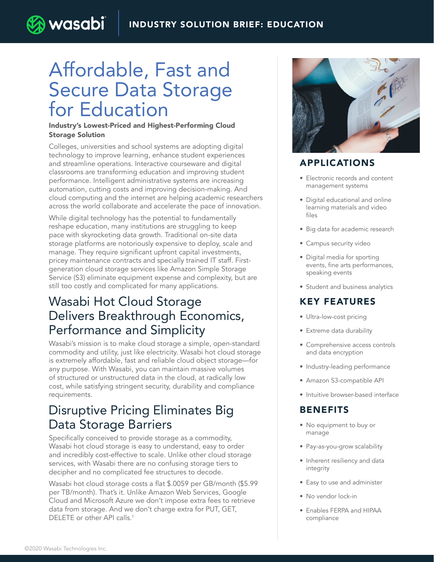# Affordable, Fast and Secure Data Storage for Education

) wasabi

#### Industry's Lowest-Priced and Highest-Performing Cloud Storage Solution

Colleges, universities and school systems are adopting digital technology to improve learning, enhance student experiences and streamline operations. Interactive courseware and digital classrooms are transforming education and improving student performance. Intelligent administrative systems are increasing automation, cutting costs and improving decision-making. And cloud computing and the internet are helping academic researchers across the world collaborate and accelerate the pace of innovation.

While digital technology has the potential to fundamentally reshape education, many institutions are struggling to keep pace with skyrocketing data growth. Traditional on-site data storage platforms are notoriously expensive to deploy, scale and manage. They require significant upfront capital investments, pricey maintenance contracts and specially trained IT staff. Firstgeneration cloud storage services like Amazon Simple Storage Service (S3) eliminate equipment expense and complexity, but are still too costly and complicated for many applications.

#### Wasabi Hot Cloud Storage Delivers Breakthrough Economics, Performance and Simplicity

Wasabi's mission is to make cloud storage a simple, open-standard commodity and utility, just like electricity. Wasabi hot cloud storage is extremely affordable, fast and reliable cloud object storage—for any purpose. With Wasabi, you can maintain massive volumes of structured or unstructured data in the cloud, at radically low cost, while satisfying stringent security, durability and compliance requirements.

#### Disruptive Pricing Eliminates Big Data Storage Barriers

Specifically conceived to provide storage as a commodity, Wasabi hot cloud storage is easy to understand, easy to order and incredibly cost-effective to scale. Unlike other cloud storage services, with Wasabi there are no confusing storage tiers to decipher and no complicated fee structures to decode.

Wasabi hot cloud storage costs a flat \$.0059 per GB/month (\$5.99 per TB/month). That's it. Unlike Amazon Web Services, Google Cloud and Microsoft Azure we don't impose extra fees to retrieve data from storage. And we don't charge extra for PUT, GET, DELETE or other API calls.<sup>1</sup>



#### APPLICATIONS

- Electronic records and content management systems
- Digital educational and online learning materials and video files
- Big data for academic research
- Campus security video
- Digital media for sporting events, fine arts performances, speaking events
- Student and business analytics

#### KEY FEATURES

- Ultra-low-cost pricing
- Extreme data durability
- Comprehensive access controls and data encryption
- Industry-leading performance
- Amazon S3-compatible API
- Intuitive browser-based interface

#### BENEFITS

- No equipment to buy or manage
- Pay-as-you-grow scalability
- Inherent resiliency and data integrity
- Easy to use and administer
- No vendor lock-in
- Enables FERPA and HIPAA compliance